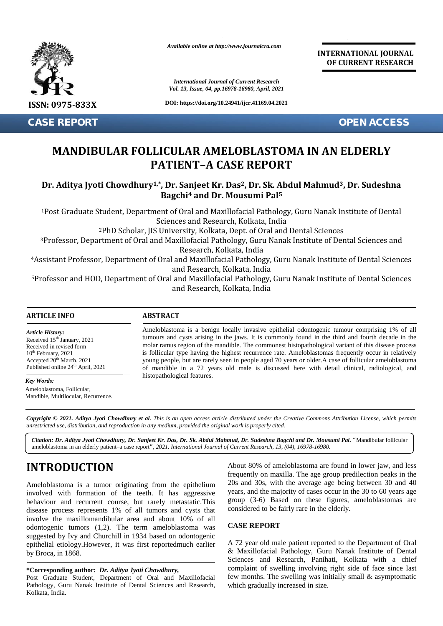

**CASE REPORT OPEN ACCESS**

*Available online at http://www.journalcra.com*

*International Journal of Current Research International Journal of Vol. 13, Issue, 04, pp.16978-16980, April, 2021*

**DOI: https://doi.org/10.24941/ijcr.41169.04.2021**

**INTERNATIONAL JOURNAL OF CURRENT RESEARCH**

# **MANDIBULAR FOLLICULAR AMELOBLASTOMA IN AN ELDERLY IN AN ELDERLYPATIENT–A CASE REPORT**

## **Dr. Aditya Jyoti Chowdhury1,\*, Dr. Sanjeet Kr. Das2, Dr. Sk. Abdul Mahmud3, Dr. Sudeshna 3Bagchi<sup>4</sup> and Dr. Mousumi Pal<sup>5</sup> and 5**

<sup>1</sup>Post Graduate Student, Department of Oral and Maxillofacial Pathology, Guru Nanak Institute of Dental Sciences and Research, Kolkata, India <sup>1</sup>Post Graduate Student, Department of Oral and Maxillofacial Pathology, Guru Nanak Institute of Dental Sciences<br>Sciences and Research, Kolkata, India<br><sup>3</sup>Professor, Department of Oral and Maxillofacial Pathology, Guru Nan

<sup>2</sup>PhD Scholar, JIS University, Kolkata, Dept. of Oral and Dental Sciences

Research, Kolkata, India

<sup>4</sup>Assistant Professor, Department of Oral and Maxillofacial Pathology, Guru Nanak Institute of Dental Sciences and Research, Kolkata, India 4Assistant Professor, Department of Oral and Maxillofacial Pathology, Guru Nanak Institute of Dental Sciences<br>and Research, Kolkata, India<br><sup>5</sup>Professor and HOD, Department of Oral and Maxillofacial Pathology, Guru Nanak In

and Research, Kolkata, India

#### **ARTICLE INFO ABSTRACT ARTICLE ABSTRACT**

*Article History: Article History:* Received  $15<sup>th</sup>$  January, 2021 Received 15 January, 2021<br>Received in revised form  $10<sup>th</sup>$  February, 2021 Accepted  $20^{th}$  March,  $2021$  y Published online  $24<sup>th</sup>$  April, 2021 **MAND<br>
MAND**<br> **Dr. Aditya |**<br>
<sup>1</sup>Post Gradua<br>
<sup>3</sup>Professor, D<br>
<sup>4</sup>Assistant Profe<br>
5Professor and l<br>
<del>ARTICLE INFO</del><br> *Article History*:<br>
Received in revised form<br>
10<sup>th</sup> February, 2021<br>
Accepted 20<sup>th</sup> March, 2021

*Key Words:* Ameloblastoma, Follicular, Mandible, Multilocular, Recurrence.

Ameloblastoma is a benign locally invasive epithelial odontogenic tumour comprising 1% of all tumours and cysts arising in the jaws. It is commonly found in the third and fourth decade in the Ameloblastoma is a benign locally invasive epithelial odontogenic tumour comprising 1% of all tumours and cysts arising in the jaws. It is commonly found in the third and fourth decade in the molar ramus region of the mand is follicular type having the highest recurrence rate. Ameloblastomas frequently occur in relatively young people, but are rarely seen in people aged 70 years or older.A case of follicular ameloblastoma of mandible in a 72 years old male is discussed here with detail clinical, radiological, and in histopathological features. is follicular type having the highest recurrence rate. Ameloblastomas frequently occur in young people, but are rarely seen in people aged 70 years or older. A case of follicular amelof mandible in a 72 years old male is d ceived 15<sup>th</sup> January, 2021<br>
ceived in revised form<br>
received in revised form<br>
molar ramus region of the mandible. The commonest his<br>
<sup>th</sup> February, 2021<br>
is follicular type having the highest recurrence rate. Ar<br>
young pe and Partment of Oral and Maxillotacial Pathology, Guru Nanak Institute of Dental<br>sor and HOD, Department of Oral and Maxillofacial Pathology, Guru Nanak Institute of Dental<br>and Research, Kolkata, India<br>and Research, Kolkat

Copyright © 2021. Aditya Jyoti Chowdhury et al. This is an open access article distributed under the Creative Commons Attribution License, which permits unrestricted use, distribution, and reproduction in any medium, provided the original work is properly cited.

Citation: Dr. Aditya Jyoti Chowdhury, Dr. Sanjeet Kr. Das, Dr. Sk. Abdul Mahmud, Dr. Sudeshna Bagchi and Dr. Mousumi Pal. "Mandibular follicular ameloblastoma in an elderly patient–a case report*", 2021. International Journal of Current Research, 13, (04), 16978-16980.*

# **INTRODUCTION INTRODUCTION**

Ameloblastoma is a tumor originating from the epithelium involved with formation of the teeth. It has aggressive behaviour and recurrent course, but rarely metastatic.This group disease process represents 1% of all tumors and cysts that involve the maxillomandibular area and about 10% of all odontogenic tumors (1,2). The term ameloblastoma was suggested by Ivy and Churchill in 1934 based on odontogenic epithelial etiology.However, it was first reportedmuch earlier by Broca, in 1868. Ameloblastoma is a tumor originating from the epithelium<br>involved with formation of the teeth. It has aggressive behaviour and recurrent course, but rarely metastatic. This<br>disease process represents 1% of all tumors and odontogenic tumors (1,2). The t<br>suggested by Ivy and Churchill in 1<br>epithelial etiology.However, it was<br>by Broca, in 1868. **INTRODUCTION**<br> **Example 1998** About 80% of ameloblastoma are found in lower jaw,<br>
frequently on maxilla. The age group predilection peak<br>
involved with formation of the teeth. It has aggressive<br>
prop (3-6) Based on these

#### **\*Corresponding author:** *Dr. Aditya Jyoti Chowdhury,* **\*Corresponding** *Jyoti*

Post Graduate Student, Department of Oral and Maxillofacial Pathology, Guru Nanak Institute of Dental Sciences and Research, Kolkata, India.

About 80% of ameloblastoma are found in lower jaw, and less frequently on maxilla. The age group predilection peaks in the 20s and 30s, with the average age being between 30 and 40 years, and the majority of cases occur in the 30 to 60 years age group (3-6) Based on these figures, ameloblastomas are considered to be fairly rare in the elderly.

### **CASE REPORT**

A 72 year old male patient reported to the Department of Oral & Maxillofacial Pathology, Guru Nanak Institute of Dental Sciences and Research, Panihati, Kolkata with a chief complaint of swelling involving right side of face since last few months. The swelling was initially small & asymptomatic which gradually increased in size. A 72 year old male patient reported to the Department & Maxillofacial Pathology, Guru Nanak Institute of Sciences and Research, Panihati, Kolkata with a complaint of swelling involving right side of face site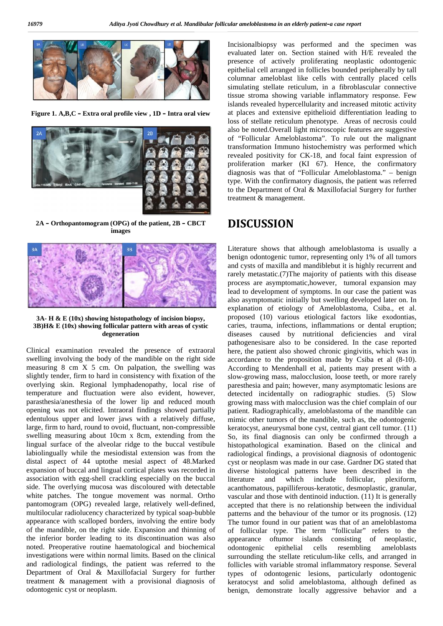

**Figure 1. A,B,C – Extra oral profile view , 1D – Intra oral view 1.–Extra oral –**



**2A – Orthopantomogram (OPG) of the patient, 2B – CBCT images**



**3A- H & E (10x) showing histopathology of incision biopsy, 3B)H& E (10x) showing follicular pattern with areas of cystic degeneration**

Clinical examination revealed the presence of extraoral Clinical swelling involving the body of the mandible on the right side measuring 8 cm X 5 cm. On palpation, the swelling was slightly tender, firm to hard in consistency with fixation of the overlying skin. Regional lymphadenopathy, local rise of temperature and fluctuation were also evident, however, parasthesia/anesthesia of the lower lip and reduced mouth opening was not elicited. Intraoral findings showed partially edentulous upper and lower jaws with a relatively diffuse, large, firm to hard, round to ovoid, fluctuant, non-compressible swelling measuring about 10cm x 8cm, extending from the lingual surface of the alveolar ridge to the buccal vestibule labiolingually while the mesiodistal extension was from the distal aspect of 44 uptothe mesial aspect of 48.Marked expansion of buccal and lingual cortical plates was recorded in labiolingually while the mesiodistal extension was from the distal aspect of 44 uptothe mesial aspect of 48.Marked expansion of buccal and lingual cortical plates was recorded in association with egg-shell crackling especi side. The overlying mucosa was discoloured with detectable white patches. The tongue movement was normal. Ortho pantomogram (OPG) revealed large, relatively well-defined, multilocular radiolucency characterized by typical soap-bubble appearance with scalloped borders, involving the entire body of the mandible, on the right side. Expansion and thinning of the inferior border leading to its discontinuation was also noted. Preoperative routine haematological and biochemical investigations were within normal limits. Based on the clinical and radiological findings, the patient was referred to the Department of Oral & Maxillofacial Surgery for further treatment & management with a provisional diagnosis of odontogenic cyst or neoplasm. swelling involving the body of the mandible on the right side<br>measuring 8 cm X 5 cm. On palpation, the swelling was<br>slightly tender, firm to hard in consistency with fixation of the<br>overlying skin. Regional lymphadenopathy side. The overlying mucosa was discoloured with detectable<br>white patches. The tongue movement was normal. Ortho<br>pantomogram (OPG) revealed large, relatively well-defined,<br>amultilocular radiolucency characterized by typical

Incisionalbiopsy was performed and the specimen was evaluated later on. Section stained with H/E revealed the presence of actively proliferating neoplastic odontogenic epithelial cell arranged in follicles bounded peripherally by tall columnar ameloblast like cells with centrally placed cells simulating stellate reticulum, in a fibroblascular connective tissue stroma showing variable inflammatory response. Few islands revealed hypercellularity and increased mitotic activity at places and extensive epithelioid differentiation leading to loss of stellate reticulum phenotype. Areas of necrosis could also be noted.Overall light microscopic features are suggestive of "Follicular Ameloblastoma". To rule out the malignant transformation Immuno histochemistry was performed which revealed positivity for CK-18, and focal faint expression of revealed positivity for CK-18, and focal faint expression of proliferation marker (KI 67). Hence, the confirmatory diagnosis was that of "Follicular Ameloblastoma." – benign type. With the confirmatory diagnosis, the patient was referred to the Department of Oral & Maxillofacial Surgery for further treatment & management.

# **DISCUSSION**

Literature shows that although ameloblastoma is usually a benign odontogenic tumor, representing only 1% of all tumors and cysts of maxilla and mandiblebut it is highly recurrent and rarely metastatic.(7)The majority of patients with this disease process are asymptomatic,however, tumoral expansion may lead to development of symptoms. In our case the patient was also asymptomatic initially but swelling developed later on. In explanation of etiology of Ameloblastoma, Csiba., et al. proposed (10) various etiological factors like exodontias, caries, trauma, infections, inflammations or dental eruption; diseases caused by nutritional deficiencies and viral pathogenesisare also to be considered. In the case reported here, the patient also showed chronic gingivitis, which was in accordance to the proposition made by Csiba et al (8-10). According to Mendenhall et al, patients may present with a slow-growing mass, malocclusion, loose teeth, or more rarely paresthesia and pain; however, many asymptomatic lesions are detected incidentally on radiographic studies. (5) Slow growing mass with malocclusion was the chief complain of our patient. Radiographically, ameloblastoma of the mandible can mimic other tumors of the mandible, such as, the odontogenic keratocyst, aneurysmal bone cyst, central giant cell tumor. (11) So, its final diagnosis can only be confirmed through a histopathological examination. Based on the clinical and radiological findings, a provisional diagnosis of odontogenic cyst or neoplasm was made in our case. Gardner DG stated that diverse histological patterns have been described in the literature and which include follicular, plexiform, acanthomatous, papilliferous-keratotic, desmoplastic, granular, vascular and those with dentinoid induction. (11) It is generally accepted that there is no relationship between the individual patterns and the behaviour of the tumor or its prognosis. (12) The tumor found in our patient was that of an ameloblastoma of follicular type. The term "follicular" refers to the appearance oftumor islands consisting of neoplastic, epithelial cells resembling ameloblasts surrounding the stellate reticulum-like cells, and arranged in follicles with variable stromal inflammatory response. Several types of odontogenic lesions, particularly odontogenic keratocyst and solid ameloblastoma, although defined as benign, demonstrate locally aggressive behavior and a The counter of  $\alpha$  management of arrangement of arrangement of arrangement of arrangement of arrangement of arrangement of arrangement of arrangement of arrangement of arrangement of arrangement of arrangement of arrange type. With the confirmatory diagnosis, the patient was referred<br>to the Department of Oral & Maxillofacial Surgery for further<br>treatment & management.<br><br>**DISCUSSION**<br>Literature shows that although ameloblastoma is usually a<br> pathogenesisare also to be considered. In the case reported<br>here, the patient also showed chronic gingivitis, which was in<br>accordance to the proposition made by Csiba et al (8-10).<br>According to Mendenhall et al, patients m paresthesia and pain; however, many asymptomatic lesions are detected incidentally on radiographic studies. (5) Slow growing mass with malocclusion was the chief complain of our patient. Radiographically, ameloblastoma of o relationship between the<br>ur of the tumor or its prog<br>patient was that of an ame and the state of the state of the control properties of the state of the state of the state of the state of the state of the state of the state of the state of the state of the state of the state of the state of the state